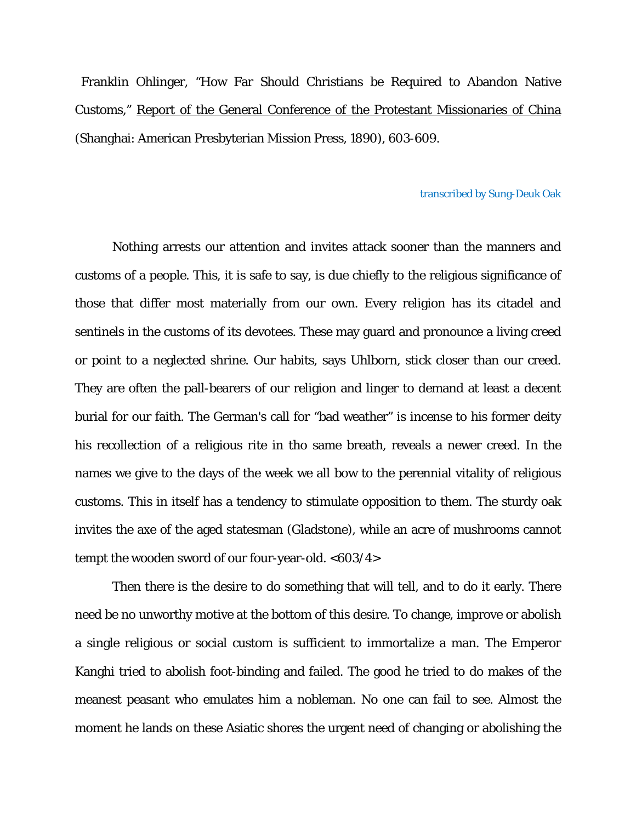Franklin Ohlinger, "How Far Should Christians be Required to Abandon Native Customs," Report of the General Conference of the Protestant Missionaries of China (Shanghai: American Presbyterian Mission Press, 1890), 603-609.

## transcribed by Sung-Deuk Oak

Nothing arrests our attention and invites attack sooner than the manners and customs of a people. This, it is safe to say, is due chiefly to the religious significance of those that differ most materially from our own. Every religion has its citadel and sentinels in the customs of its devotees. These may guard and pronounce a living creed or point to a neglected shrine. Our habits, says Uhlborn, stick closer than our creed. They are often the pall-bearers of our religion and linger to demand at least a decent burial for our faith. The German's call for "bad weather" is incense to his former deity his recollection of a religious rite in tho same breath, reveals a newer creed. In the names we give to the days of the week we all bow to the perennial vitality of religious customs. This in itself has a tendency to stimulate opposition to them. The sturdy oak invites the axe of the aged statesman (Gladstone), while an acre of mushrooms cannot tempt the wooden sword of our four-year-old. <603/4>

Then there is the desire to do something that will tell, and to do it early. There need be no unworthy motive at the bottom of this desire. To change, improve or abolish a single religious or social custom is sufficient to immortalize a man. The Emperor Kanghi tried to abolish foot-binding and failed. The good he tried to do makes of the meanest peasant who emulates him a nobleman. No one can fail to see. Almost the moment he lands on these Asiatic shores the urgent need of changing or abolishing the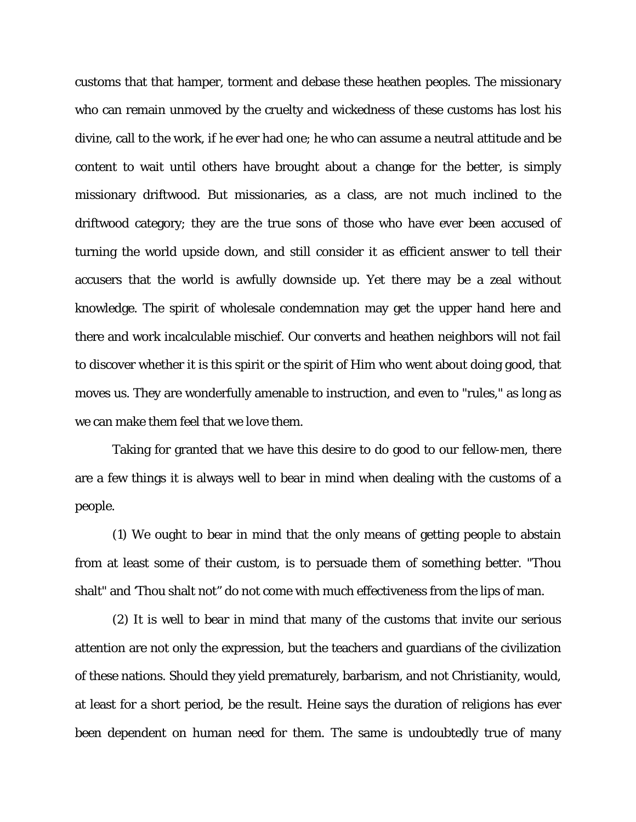customs that that hamper, torment and debase these heathen peoples. The missionary who can remain unmoved by the cruelty and wickedness of these customs has lost his divine, call to the work, if he ever had one; he who can assume a neutral attitude and be content to wait until others have brought about a change for the better, is simply missionary driftwood. But missionaries, as a class, are not much inclined to the driftwood category; they are the true sons of those who have ever been accused of turning the world upside down, and still consider it as efficient answer to tell their accusers that the world is awfully downside up. Yet there may be a zeal without knowledge. The spirit of wholesale condemnation may get the upper hand here and there and work incalculable mischief. Our converts and heathen neighbors will not fail to discover whether it is this spirit or the spirit of Him who went about doing good, that moves us. They are wonderfully amenable to instruction, and even to "rules," as long as we can make them feel that we love them.

Taking for granted that we have this desire to do good to our fellow-men, there are a few things it is always well to bear in mind when dealing with the customs of a people.

(1) We ought to bear in mind that the only means of getting people to abstain from at least some of their custom, is to persuade them of something better. "Thou shalt" and 'Thou shalt not" do not come with much effectiveness from the lips of man.

(2) It is well to bear in mind that many of the customs that invite our serious attention are not only the expression, but the teachers and guardians of the civilization of these nations. Should they yield prematurely, barbarism, and not Christianity, would, at least for a short period, be the result. Heine says the duration of religions has ever been dependent on human need for them. The same is undoubtedly true of many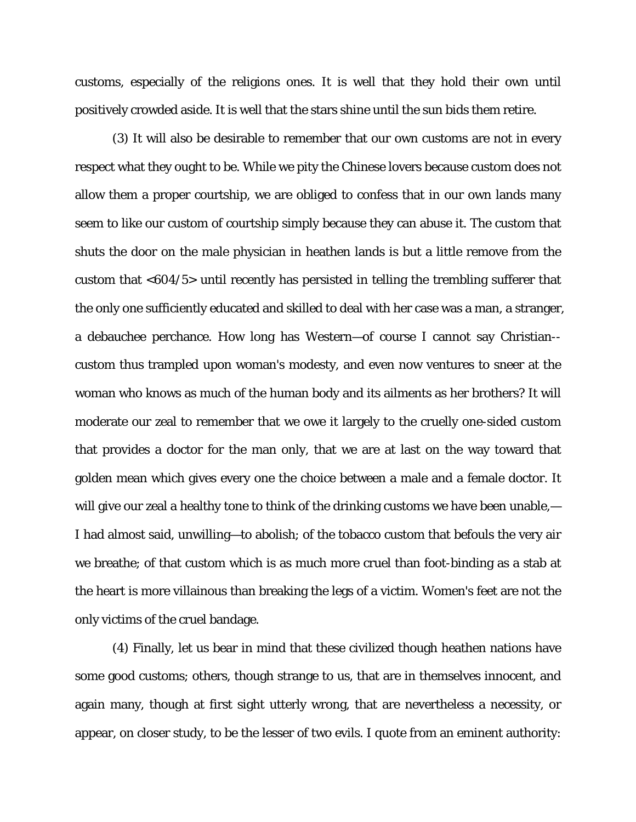customs, especially of the religions ones. It is well that they hold their own until positively crowded aside. It is well that the stars shine until the sun bids them retire.

(3) It will also be desirable to remember that our own customs are not in every respect what they ought to be. While we pity the Chinese lovers because custom does not allow them a proper courtship, we are obliged to confess that in our own lands many seem to like our custom of courtship simply because they can abuse it. The custom that shuts the door on the male physician in heathen lands is but a little remove from the custom that <604/5> until recently has persisted in telling the trembling sufferer that the only one sufficiently educated and skilled to deal with her case was a man, a stranger, a debauchee perchance. How long has Western—of course I cannot say Christian- custom thus trampled upon woman's modesty, and even now ventures to sneer at the woman who knows as much of the human body and its ailments as her brothers? It will moderate our zeal to remember that we owe it largely to the cruelly one-sided custom that provides a doctor for the man only, that we are at last on the way toward that golden mean which gives every one the choice between a male and a female doctor. It will give our zeal a healthy tone to think of the drinking customs we have been unable,— I had almost said, unwilling—to abolish; of the tobacco custom that befouls the very air we breathe; of that custom which is as much more cruel than foot-binding as a stab at the heart is more villainous than breaking the legs of a victim. Women's feet are not the only victims of the cruel bandage.

(4) Finally, let us bear in mind that these civilized though heathen nations have some good customs; others, though strange to us, that are in themselves innocent, and again many, though at first sight utterly wrong, that are nevertheless a necessity, or appear, on closer study, to be the lesser of two evils. I quote from an eminent authority: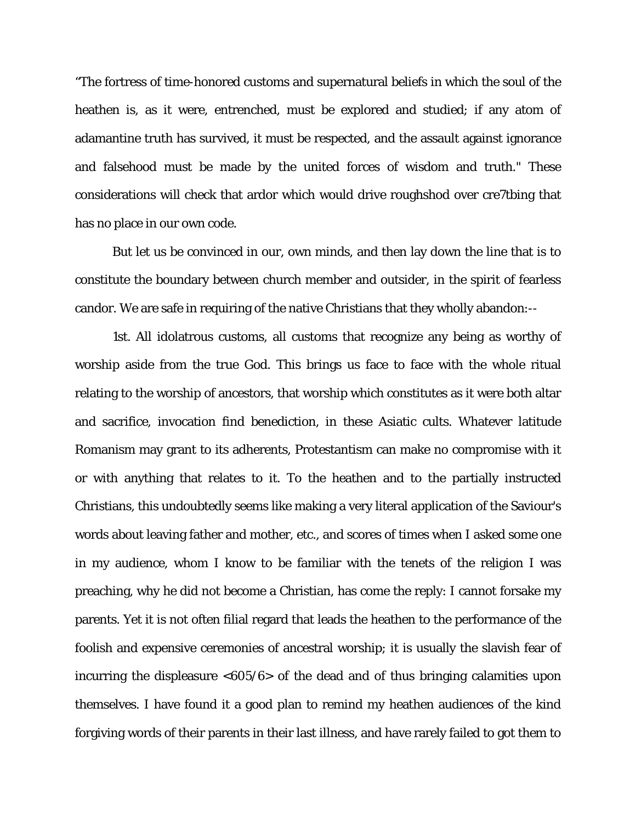"The fortress of time-honored customs and supernatural beliefs in which the soul of the heathen is, as it were, entrenched, must be explored and studied; if any atom of adamantine truth has survived, it must be respected, and the assault against ignorance and falsehood must be made by the united forces of wisdom and truth." These considerations will check that ardor which would drive roughshod over cre7tbing that has no place in our own code.

But let us be convinced in our, own minds, and then lay down the line that is to constitute the boundary between church member and outsider, in the spirit of fearless candor. We are safe in requiring of the native Christians that they wholly abandon:--

1st. All idolatrous customs, all customs that recognize any being as worthy of worship aside from the true God. This brings us face to face with the whole ritual relating to the worship of ancestors, that worship which constitutes as it were both altar and sacrifice, invocation find benediction, in these Asiatic cults. Whatever latitude Romanism may grant to its adherents, Protestantism can make no compromise with it or with anything that relates to it. To the heathen and to the partially instructed Christians, this undoubtedly seems like making a very literal application of the Saviour's words about leaving father and mother, etc., and scores of times when I asked some one in my audience, whom I know to be familiar with the tenets of the religion I was preaching, why he did not become a Christian, has come the reply: I cannot forsake my parents. Yet it is not often filial regard that leads the heathen to the performance of the foolish and expensive ceremonies of ancestral worship; it is usually the slavish fear of incurring the displeasure <605/6> of the dead and of thus bringing calamities upon themselves. I have found it a good plan to remind my heathen audiences of the kind forgiving words of their parents in their last illness, and have rarely failed to got them to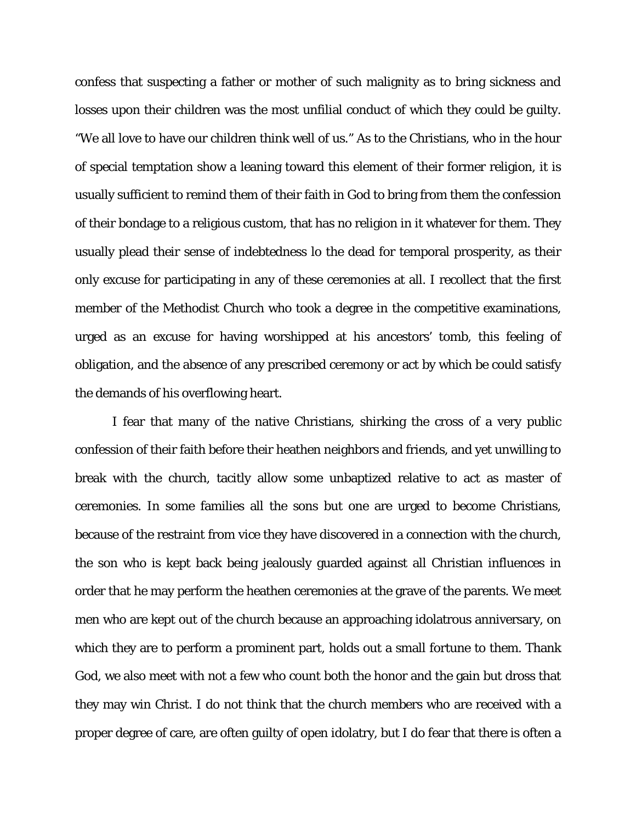confess that suspecting a father or mother of such malignity as to bring sickness and losses upon their children was the most unfilial conduct of which they could be guilty. "We all love to have our children think well of us." As to the Christians, who in the hour of special temptation show a leaning toward this element of their former religion, it is usually sufficient to remind them of their faith in God to bring from them the confession of their bondage to a religious custom, that has no religion in it whatever for them. They usually plead their sense of indebtedness lo the dead for temporal prosperity, as their only excuse for participating in any of these ceremonies at all. I recollect that the first member of the Methodist Church who took a degree in the competitive examinations, urged as an excuse for having worshipped at his ancestors' tomb, this feeling of obligation, and the absence of any prescribed ceremony or act by which be could satisfy the demands of his overflowing heart.

I fear that many of the native Christians, shirking the cross of a very public confession of their faith before their heathen neighbors and friends, and yet unwilling to break with the church, tacitly allow some unbaptized relative to act as master of ceremonies. In some families all the sons but one are urged to become Christians, because of the restraint from vice they have discovered in a connection with the church, the son who is kept back being jealously guarded against all Christian influences in order that he may perform the heathen ceremonies at the grave of the parents. We meet men who are kept out of the church because an approaching idolatrous anniversary, on which they are to perform a prominent part, holds out a small fortune to them. Thank God, we also meet with not a few who count both the honor and the gain but dross that they may win Christ. I do not think that the church members who are received with a proper degree of care, are often guilty of open idolatry, but I do fear that there is often a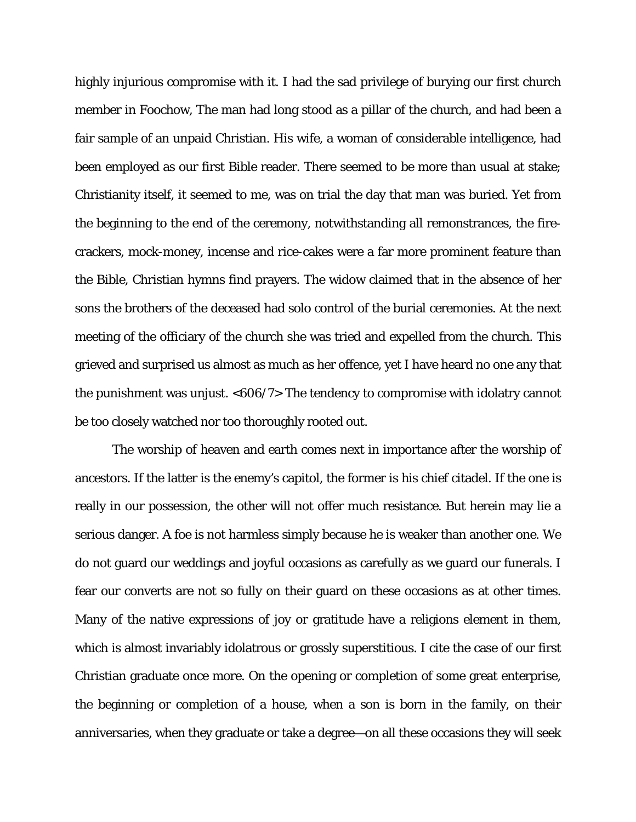highly injurious compromise with it. I had the sad privilege of burying our first church member in Foochow, The man had long stood as a pillar of the church, and had been a fair sample of an unpaid Christian. His wife, a woman of considerable intelligence, had been employed as our first Bible reader. There seemed to be more than usual at stake; Christianity itself, it seemed to me, was on trial the day that man was buried. Yet from the beginning to the end of the ceremony, notwithstanding all remonstrances, the firecrackers, mock-money, incense and rice-cakes were a far more prominent feature than the Bible, Christian hymns find prayers. The widow claimed that in the absence of her sons the brothers of the deceased had solo control of the burial ceremonies. At the next meeting of the officiary of the church she was tried and expelled from the church. This grieved and surprised us almost as much as her offence, yet I have heard no one any that the punishment was unjust. <606/7> The tendency to compromise with idolatry cannot be too closely watched nor too thoroughly rooted out.

The worship of heaven and earth comes next in importance after the worship of ancestors. If the latter is the enemy's capitol, the former is his chief citadel. If the one is really in our possession, the other will not offer much resistance. But herein may lie a serious danger. A foe is not harmless simply because he is weaker than another one. We do not guard our weddings and joyful occasions as carefully as we guard our funerals. I fear our converts are not so fully on their guard on these occasions as at other times. Many of the native expressions of joy or gratitude have a religions element in them, which is almost invariably idolatrous or grossly superstitious. I cite the case of our first Christian graduate once more. On the opening or completion of some great enterprise, the beginning or completion of a house, when a son is born in the family, on their anniversaries, when they graduate or take a degree—on all these occasions they will seek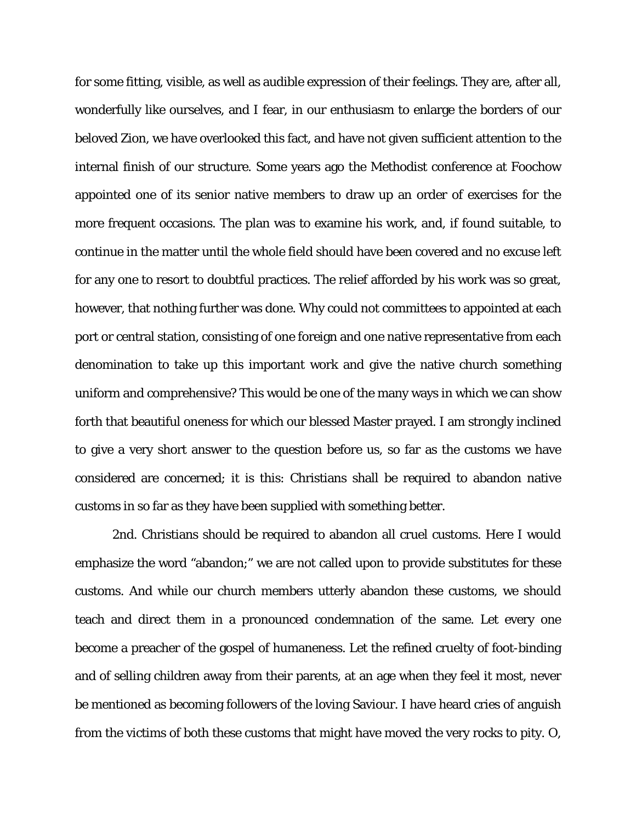for some fitting, visible, as well as audible expression of their feelings. They are, after all, wonderfully like ourselves, and I fear, in our enthusiasm to enlarge the borders of our beloved Zion, we have overlooked this fact, and have not given sufficient attention to the internal finish of our structure. Some years ago the Methodist conference at Foochow appointed one of its senior native members to draw up an order of exercises for the more frequent occasions. The plan was to examine his work, and, if found suitable, to continue in the matter until the whole field should have been covered and no excuse left for any one to resort to doubtful practices. The relief afforded by his work was so great, however, that nothing further was done. Why could not committees to appointed at each port or central station, consisting of one foreign and one native representative from each denomination to take up this important work and give the native church something uniform and comprehensive? This would be one of the many ways in which we can show forth that beautiful oneness for which our blessed Master prayed. I am strongly inclined to give a very short answer to the question before us, so far as the customs we have considered are concerned; it is this: Christians shall be required to abandon native customs in so far as they have been supplied with something better.

2nd. Christians should be required to abandon all cruel customs. Here I would emphasize the word "abandon;" we are not called upon to provide substitutes for these customs. And while our church members utterly abandon these customs, we should teach and direct them in a pronounced condemnation of the same. Let every one become a preacher of the gospel of humaneness. Let the refined cruelty of foot-binding and of selling children away from their parents, at an age when they feel it most, never be mentioned as becoming followers of the loving Saviour. I have heard cries of anguish from the victims of both these customs that might have moved the very rocks to pity. O,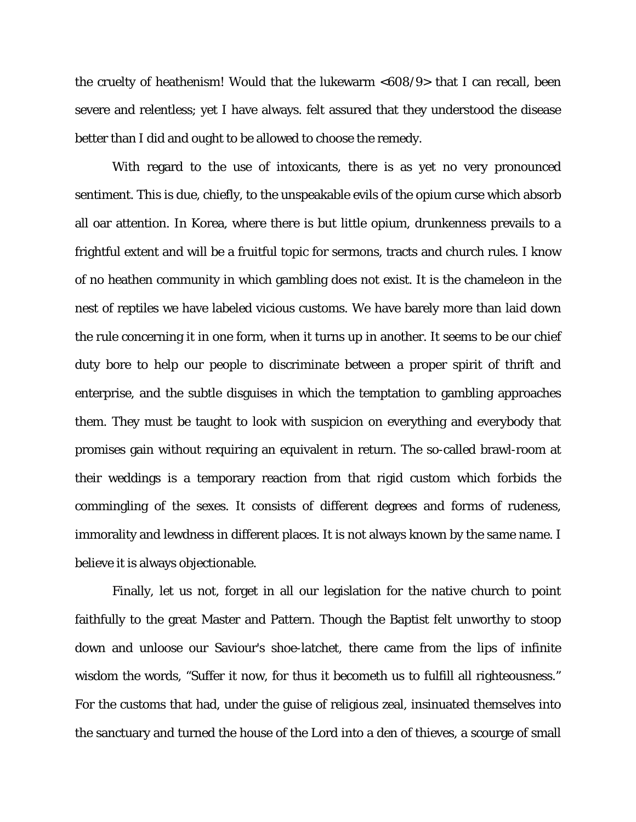the cruelty of heathenism! Would that the lukewarm <608/9> that I can recall, been severe and relentless; yet I have always. felt assured that they understood the disease better than I did and ought to be allowed to choose the remedy.

With regard to the use of intoxicants, there is as yet no very pronounced sentiment. This is due, chiefly, to the unspeakable evils of the opium curse which absorb all oar attention. In Korea, where there is but little opium, drunkenness prevails to a frightful extent and will be a fruitful topic for sermons, tracts and church rules. I know of no heathen community in which gambling does not exist. It is the chameleon in the nest of reptiles we have labeled vicious customs. We have barely more than laid down the rule concerning it in one form, when it turns up in another. It seems to be our chief duty bore to help our people to discriminate between a proper spirit of thrift and enterprise, and the subtle disguises in which the temptation to gambling approaches them. They must be taught to look with suspicion on everything and everybody that promises gain without requiring an equivalent in return. The so-called brawl-room at their weddings is a temporary reaction from that rigid custom which forbids the commingling of the sexes. It consists of different degrees and forms of rudeness, immorality and lewdness in different places. It is not always known by the same name. I believe it is always objectionable.

Finally, let us not, forget in all our legislation for the native church to point faithfully to the great Master and Pattern. Though the Baptist felt unworthy to stoop down and unloose our Saviour's shoe-latchet, there came from the lips of infinite wisdom the words, "Suffer it now, for thus it becometh us to fulfill all righteousness." For the customs that had, under the guise of religious zeal, insinuated themselves into the sanctuary and turned the house of the Lord into a den of thieves, a scourge of small